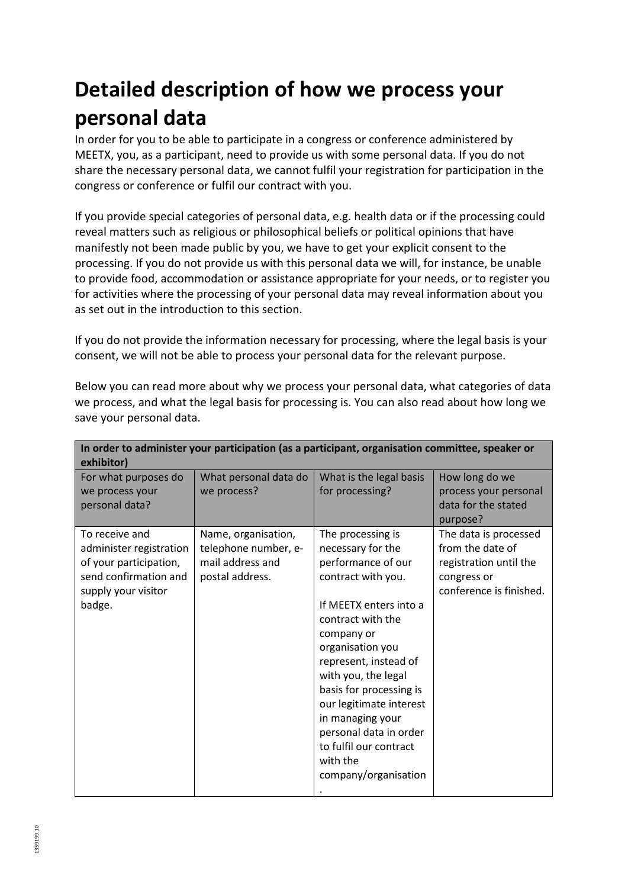## **Detailed description of how we process your personal data**

In order for you to be able to participate in a congress or conference administered by MEETX, you, as a participant, need to provide us with some personal data. If you do not share the necessary personal data, we cannot fulfil your registration for participation in the congress or conference or fulfil our contract with you.

If you provide special categories of personal data, e.g. health data or if the processing could reveal matters such as religious or philosophical beliefs or political opinions that have manifestly not been made public by you, we have to get your explicit consent to the processing. If you do not provide us with this personal data we will, for instance, be unable to provide food, accommodation or assistance appropriate for your needs, or to register you for activities where the processing of your personal data may reveal information about you as set out in the introduction to this section.

If you do not provide the information necessary for processing, where the legal basis is your consent, we will not be able to process your personal data for the relevant purpose.

| In order to administer your participation (as a participant, organisation committee, speaker or<br>exhibitor) |                       |                         |                         |  |
|---------------------------------------------------------------------------------------------------------------|-----------------------|-------------------------|-------------------------|--|
| For what purposes do                                                                                          | What personal data do | What is the legal basis | How long do we          |  |
| we process your                                                                                               | we process?           | for processing?         | process your personal   |  |
| personal data?                                                                                                |                       |                         | data for the stated     |  |
|                                                                                                               |                       |                         | purpose?                |  |
| To receive and                                                                                                | Name, organisation,   | The processing is       | The data is processed   |  |
| administer registration                                                                                       | telephone number, e-  | necessary for the       | from the date of        |  |
| of your participation,                                                                                        | mail address and      | performance of our      | registration until the  |  |
| send confirmation and                                                                                         | postal address.       | contract with you.      | congress or             |  |
| supply your visitor                                                                                           |                       |                         | conference is finished. |  |
| badge.                                                                                                        |                       | If MEETX enters into a  |                         |  |
|                                                                                                               |                       | contract with the       |                         |  |
|                                                                                                               |                       | company or              |                         |  |
|                                                                                                               |                       | organisation you        |                         |  |
|                                                                                                               |                       | represent, instead of   |                         |  |
|                                                                                                               |                       | with you, the legal     |                         |  |
|                                                                                                               |                       | basis for processing is |                         |  |
|                                                                                                               |                       | our legitimate interest |                         |  |
|                                                                                                               |                       | in managing your        |                         |  |
|                                                                                                               |                       | personal data in order  |                         |  |
|                                                                                                               |                       | to fulfil our contract  |                         |  |
|                                                                                                               |                       | with the                |                         |  |
|                                                                                                               |                       | company/organisation    |                         |  |
|                                                                                                               |                       |                         |                         |  |

Below you can read more about why we process your personal data, what categories of data we process, and what the legal basis for processing is. You can also read about how long we save your personal data.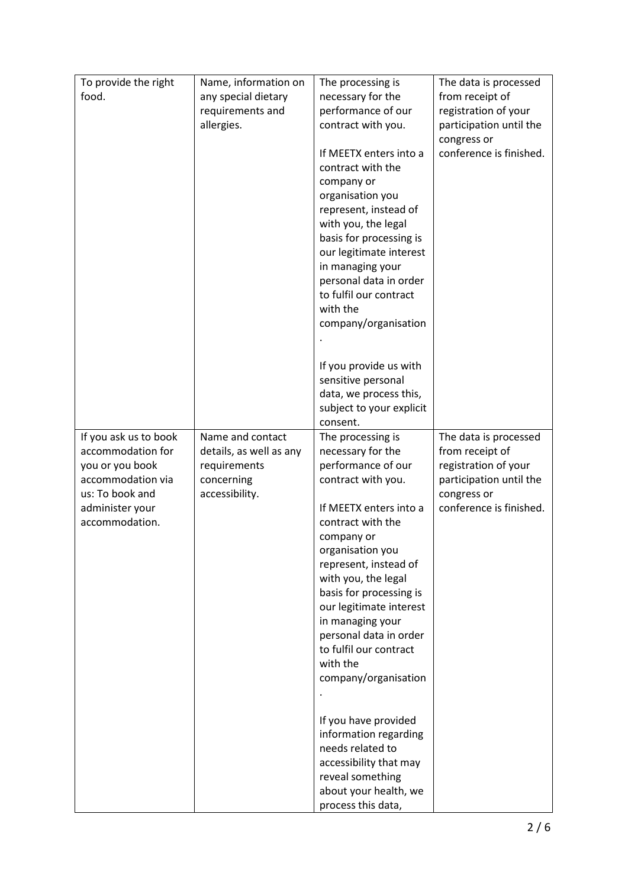| To provide the right               | Name, information on    | The processing is                            | The data is processed                  |
|------------------------------------|-------------------------|----------------------------------------------|----------------------------------------|
| food.                              | any special dietary     | necessary for the                            | from receipt of                        |
|                                    | requirements and        | performance of our                           | registration of your                   |
|                                    | allergies.              | contract with you.                           | participation until the                |
|                                    |                         |                                              | congress or                            |
|                                    |                         | If MEETX enters into a                       | conference is finished.                |
|                                    |                         | contract with the                            |                                        |
|                                    |                         | company or                                   |                                        |
|                                    |                         | organisation you                             |                                        |
|                                    |                         | represent, instead of<br>with you, the legal |                                        |
|                                    |                         | basis for processing is                      |                                        |
|                                    |                         | our legitimate interest                      |                                        |
|                                    |                         | in managing your                             |                                        |
|                                    |                         | personal data in order                       |                                        |
|                                    |                         | to fulfil our contract                       |                                        |
|                                    |                         | with the                                     |                                        |
|                                    |                         | company/organisation                         |                                        |
|                                    |                         |                                              |                                        |
|                                    |                         | If you provide us with                       |                                        |
|                                    |                         | sensitive personal                           |                                        |
|                                    |                         | data, we process this,                       |                                        |
|                                    |                         | subject to your explicit                     |                                        |
|                                    |                         | consent.                                     |                                        |
| If you ask us to book              | Name and contact        | The processing is                            | The data is processed                  |
| accommodation for                  | details, as well as any | necessary for the                            | from receipt of                        |
| you or you book                    | requirements            | performance of our                           | registration of your                   |
| accommodation via                  | concerning              | contract with you.                           | participation until the                |
| us: To book and<br>administer your | accessibility.          | If MEETX enters into a                       | congress or<br>conference is finished. |
| accommodation.                     |                         | contract with the                            |                                        |
|                                    |                         | company or                                   |                                        |
|                                    |                         | organisation you                             |                                        |
|                                    |                         | represent, instead of                        |                                        |
|                                    |                         | with you, the legal                          |                                        |
|                                    |                         | basis for processing is                      |                                        |
|                                    |                         | our legitimate interest                      |                                        |
|                                    |                         | in managing your                             |                                        |
|                                    |                         | personal data in order                       |                                        |
|                                    |                         | to fulfil our contract<br>with the           |                                        |
|                                    |                         | company/organisation                         |                                        |
|                                    |                         |                                              |                                        |
|                                    |                         |                                              |                                        |
|                                    |                         | If you have provided                         |                                        |
|                                    |                         | information regarding                        |                                        |
|                                    |                         | needs related to                             |                                        |
|                                    |                         | accessibility that may                       |                                        |
|                                    |                         | reveal something<br>about your health, we    |                                        |
|                                    |                         | process this data,                           |                                        |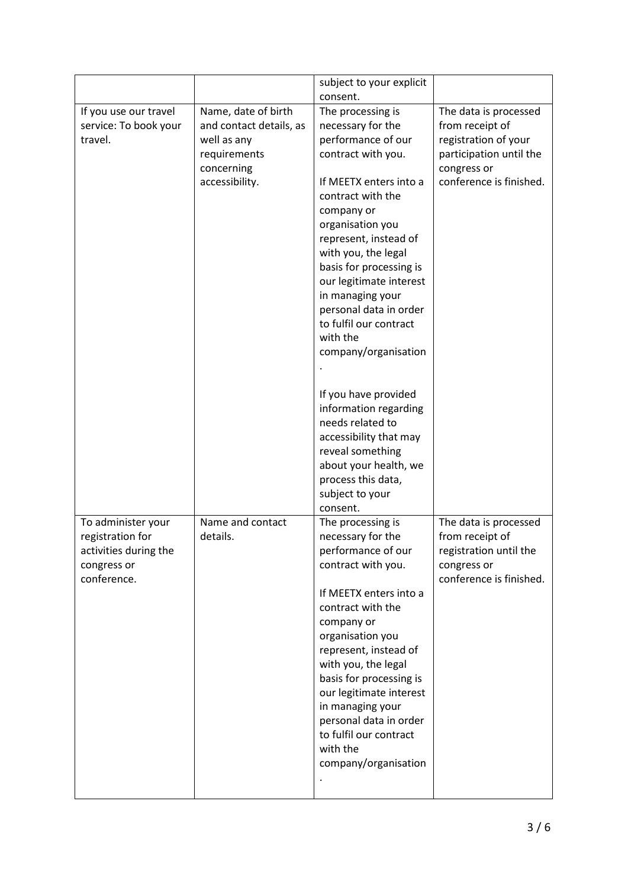|                                                                         |                                                                                                               | subject to your explicit                                                                                                                                                                                                                                                                                                                                                                                                                                                                                                                                                   |                                                                                                                                       |
|-------------------------------------------------------------------------|---------------------------------------------------------------------------------------------------------------|----------------------------------------------------------------------------------------------------------------------------------------------------------------------------------------------------------------------------------------------------------------------------------------------------------------------------------------------------------------------------------------------------------------------------------------------------------------------------------------------------------------------------------------------------------------------------|---------------------------------------------------------------------------------------------------------------------------------------|
|                                                                         |                                                                                                               | consent.                                                                                                                                                                                                                                                                                                                                                                                                                                                                                                                                                                   |                                                                                                                                       |
| If you use our travel<br>service: To book your<br>travel.               | Name, date of birth<br>and contact details, as<br>well as any<br>requirements<br>concerning<br>accessibility. | The processing is<br>necessary for the<br>performance of our<br>contract with you.<br>If MEETX enters into a<br>contract with the<br>company or<br>organisation you<br>represent, instead of<br>with you, the legal<br>basis for processing is<br>our legitimate interest<br>in managing your<br>personal data in order<br>to fulfil our contract<br>with the<br>company/organisation<br>If you have provided<br>information regarding<br>needs related to<br>accessibility that may<br>reveal something<br>about your health, we<br>process this data,<br>subject to your | The data is processed<br>from receipt of<br>registration of your<br>participation until the<br>congress or<br>conference is finished. |
| To administer your                                                      | Name and contact                                                                                              | consent.<br>The processing is                                                                                                                                                                                                                                                                                                                                                                                                                                                                                                                                              | The data is processed                                                                                                                 |
| registration for<br>activities during the<br>congress or<br>conference. | details.                                                                                                      | necessary for the<br>performance of our<br>contract with you.<br>If MEETX enters into a<br>contract with the<br>company or<br>organisation you<br>represent, instead of<br>with you, the legal<br>basis for processing is<br>our legitimate interest<br>in managing your<br>personal data in order<br>to fulfil our contract<br>with the<br>company/organisation                                                                                                                                                                                                           | from receipt of<br>registration until the<br>congress or<br>conference is finished.                                                   |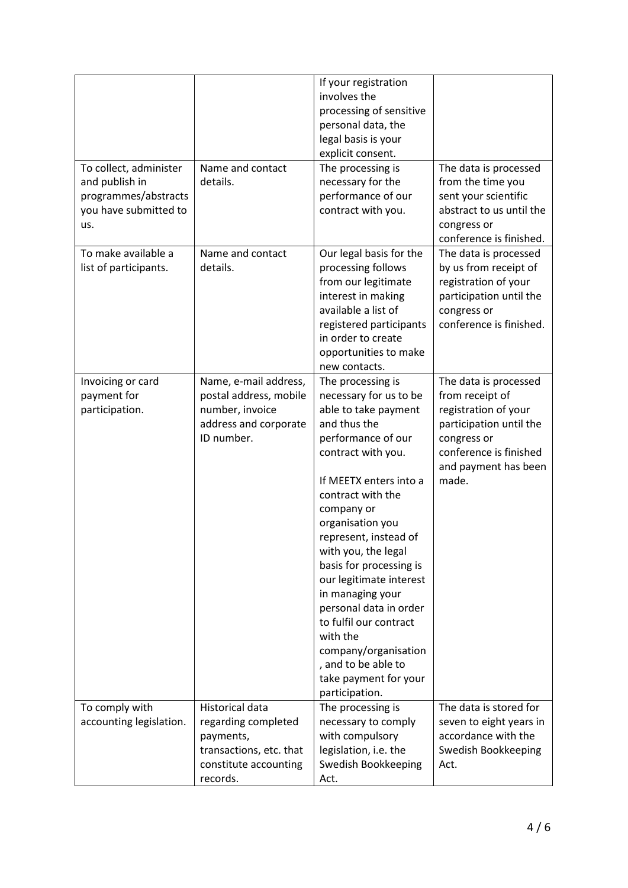| To collect, administer<br>and publish in<br>programmes/abstracts<br>you have submitted to<br>us. | Name and contact<br>details.                                                                                        | If your registration<br>involves the<br>processing of sensitive<br>personal data, the<br>legal basis is your<br>explicit consent.<br>The processing is<br>necessary for the<br>performance of our<br>contract with you.                                                                                                                                                                                                                                                                              | The data is processed<br>from the time you<br>sent your scientific<br>abstract to us until the<br>congress or<br>conference is finished.                              |
|--------------------------------------------------------------------------------------------------|---------------------------------------------------------------------------------------------------------------------|------------------------------------------------------------------------------------------------------------------------------------------------------------------------------------------------------------------------------------------------------------------------------------------------------------------------------------------------------------------------------------------------------------------------------------------------------------------------------------------------------|-----------------------------------------------------------------------------------------------------------------------------------------------------------------------|
| To make available a<br>list of participants.                                                     | Name and contact<br>details.                                                                                        | Our legal basis for the<br>processing follows<br>from our legitimate<br>interest in making<br>available a list of<br>registered participants<br>in order to create<br>opportunities to make<br>new contacts.                                                                                                                                                                                                                                                                                         | The data is processed<br>by us from receipt of<br>registration of your<br>participation until the<br>congress or<br>conference is finished.                           |
| Invoicing or card<br>payment for<br>participation.                                               | Name, e-mail address,<br>postal address, mobile<br>number, invoice<br>address and corporate<br>ID number.           | The processing is<br>necessary for us to be<br>able to take payment<br>and thus the<br>performance of our<br>contract with you.<br>If MEETX enters into a<br>contract with the<br>company or<br>organisation you<br>represent, instead of<br>with you, the legal<br>basis for processing is<br>our legitimate interest<br>in managing your<br>personal data in order<br>to fulfil our contract<br>with the<br>company/organisation<br>, and to be able to<br>take payment for your<br>participation. | The data is processed<br>from receipt of<br>registration of your<br>participation until the<br>congress or<br>conference is finished<br>and payment has been<br>made. |
| To comply with<br>accounting legislation.                                                        | Historical data<br>regarding completed<br>payments,<br>transactions, etc. that<br>constitute accounting<br>records. | The processing is<br>necessary to comply<br>with compulsory<br>legislation, i.e. the<br>Swedish Bookkeeping<br>Act.                                                                                                                                                                                                                                                                                                                                                                                  | The data is stored for<br>seven to eight years in<br>accordance with the<br>Swedish Bookkeeping<br>Act.                                                               |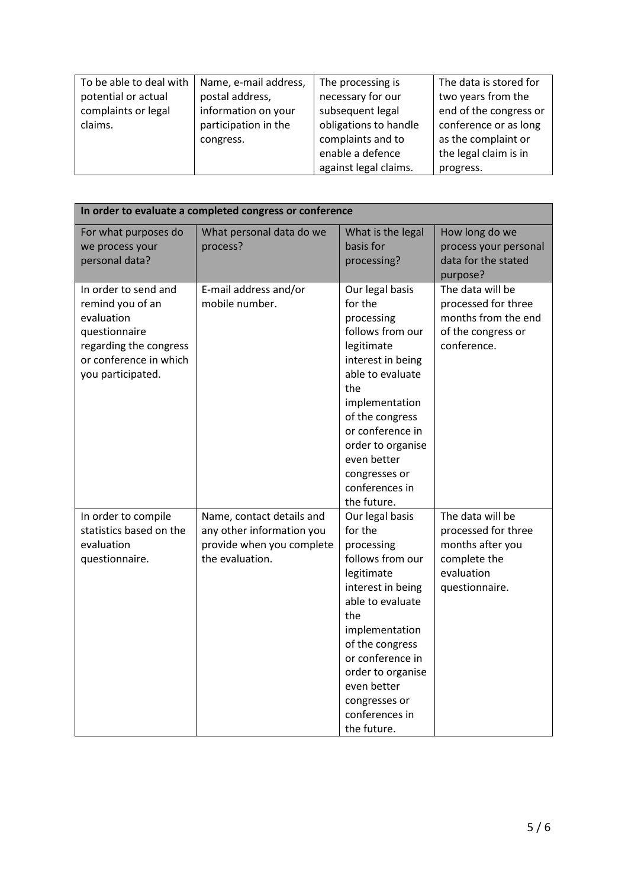| To be able to deal with | Name, e-mail address, | The processing is     | The data is stored for |
|-------------------------|-----------------------|-----------------------|------------------------|
| potential or actual     | postal address,       | necessary for our     | two years from the     |
| complaints or legal     | information on your   | subsequent legal      | end of the congress or |
| claims.                 | participation in the  | obligations to handle | conference or as long  |
|                         | congress.             | complaints and to     | as the complaint or    |
|                         |                       | enable a defence      | the legal claim is in  |
|                         |                       | against legal claims. | progress.              |

| In order to evaluate a completed congress or conference                                                                                          |                                                                                                        |                                                                                                                                                                                                                                                                           |                                                                                                             |
|--------------------------------------------------------------------------------------------------------------------------------------------------|--------------------------------------------------------------------------------------------------------|---------------------------------------------------------------------------------------------------------------------------------------------------------------------------------------------------------------------------------------------------------------------------|-------------------------------------------------------------------------------------------------------------|
| For what purposes do<br>we process your<br>personal data?                                                                                        | What personal data do we<br>process?                                                                   | What is the legal<br>basis for<br>processing?                                                                                                                                                                                                                             | How long do we<br>process your personal<br>data for the stated<br>purpose?                                  |
| In order to send and<br>remind you of an<br>evaluation<br>questionnaire<br>regarding the congress<br>or conference in which<br>you participated. | E-mail address and/or<br>mobile number.                                                                | Our legal basis<br>for the<br>processing<br>follows from our<br>legitimate<br>interest in being<br>able to evaluate<br>the<br>implementation<br>of the congress<br>or conference in<br>order to organise<br>even better<br>congresses or<br>conferences in<br>the future. | The data will be<br>processed for three<br>months from the end<br>of the congress or<br>conference.         |
| In order to compile<br>statistics based on the<br>evaluation<br>questionnaire.                                                                   | Name, contact details and<br>any other information you<br>provide when you complete<br>the evaluation. | Our legal basis<br>for the<br>processing<br>follows from our<br>legitimate<br>interest in being<br>able to evaluate<br>the<br>implementation<br>of the congress<br>or conference in<br>order to organise<br>even better<br>congresses or<br>conferences in<br>the future. | The data will be<br>processed for three<br>months after you<br>complete the<br>evaluation<br>questionnaire. |